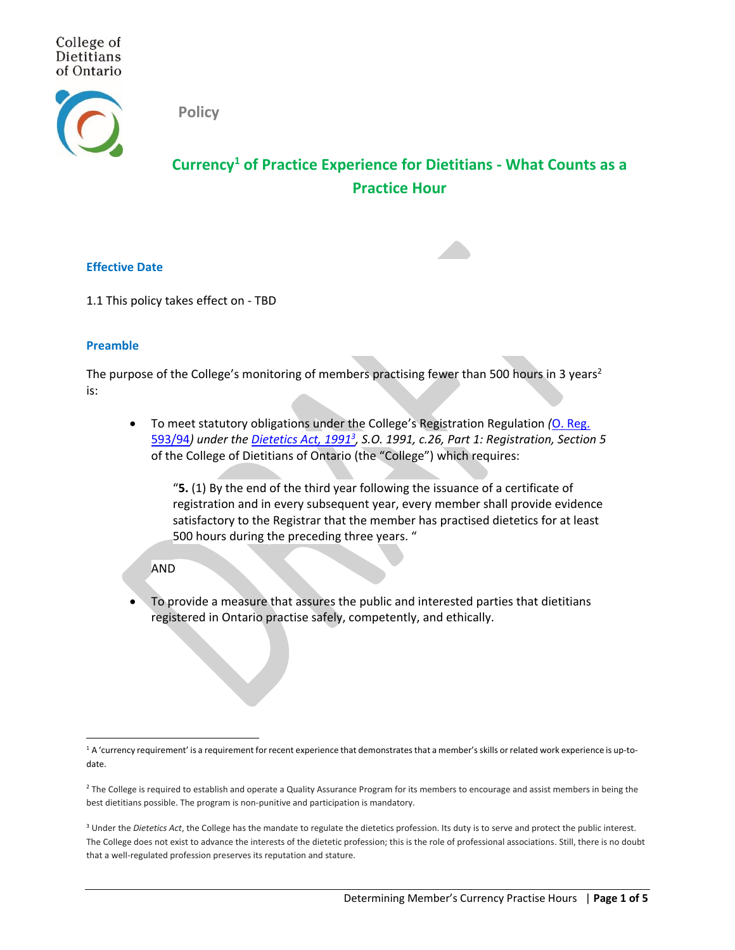College of Dietitians of Ontario



**Policy**

# **Currency<sup>1</sup> of Practice Experience for Dietitians - What Counts as a Practice Hour**

### **Effective Date**

1.1 This policy takes effect on - TBD

### **Preamble**

The purpose of the College's monitoring of members practising fewer than 500 hours in 3 years<sup>2</sup> is:

• To meet statutory obligations under the College's Registration Regulation *(*O. [Reg.](https://www.ontario.ca/laws/regulation/940593) [593/94](https://www.ontario.ca/laws/regulation/940593)*) under the [Dietetics](https://www.ontario.ca/laws/statute/91d26) Act, 1991<sup>3</sup> , S.O. 1991, c.26, Part 1: Registration, Section 5* of the College of Dietitians of Ontario (the "College") which requires:

"**5.** (1) By the end of the third year following the issuance of a certificate of registration and in every subsequent year, every member shall provide evidence satisfactory to the Registrar that the member has practised dietetics for at least 500 hours during the preceding three years. "

### AND

• To provide a measure that assures the public and interested parties that dietitians registered in Ontario practise safely, competently, and ethically.

<sup>&</sup>lt;sup>1</sup> A 'currency requirement' is a requirement for recent experience that demonstrates that a member's skills or related work experience is up-todate.

<sup>&</sup>lt;sup>2</sup> The College is required to establish and operate a Quality Assurance Program for its members to encourage and assist members in being the best dietitians possible. The program is non-punitive and participation is mandatory.

<sup>&</sup>lt;sup>3</sup> Under the *Dietetics Act*, the College has the mandate to regulate the dietetics profession. Its duty is to serve and protect the public interest. The College does not exist to advance the interests of the dietetic profession; this is the role of professional associations. Still, there is no doubt that a well-regulated profession preserves its reputation and stature.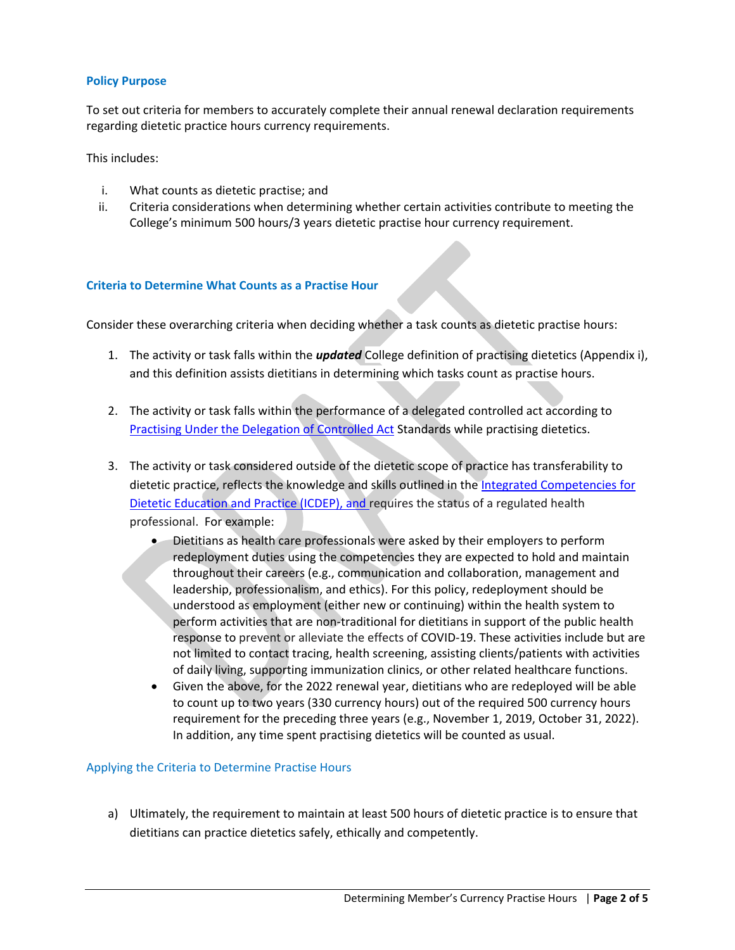## **Policy Purpose**

To set out criteria for members to accurately complete their annual renewal declaration requirements regarding dietetic practice hours currency requirements.

This includes:

- i. What counts as dietetic practise; and
- ii. Criteria considerations when determining whether certain activities contribute to meeting the College's minimum 500 hours/3 years dietetic practise hour currency requirement.

# **Criteria to Determine What Counts as a Practise Hour**

Consider these overarching criteria when deciding whether a task counts as dietetic practise hours:

- 1. The activity or task falls within the *updated* College definition of practising dietetics (Appendix i), and this definition assists dietitians in determining which tasks count as practise hours.
- 2. The activity or task falls within the performance of a delegated controlled act according to **[Practising Under the Delegation of Controlled Act](https://www.collegeofdietitians.org/professional-practice-resources/scope-of-practice-controlled-acts/practicing-through-delegation-of-controlled-acts.aspx) Standards while practising dietetics.**
- 3. The activity or task considered outside of the dietetic scope of practice has transferability to dietetic practice, reflects the knowledge and skills outlined in the Integrated Competencies for [Dietetic Education and Practice](https://www.pdep.ca/library/PDEP-Policies/Integrated-Competencies-For-Dietetic-Education-And.aspx) (ICDEP), and requires the status of a regulated health professional. For example:
	- Dietitians as health care professionals were asked by their employers to perform redeployment duties using the competencies they are expected to hold and maintain throughout their careers (e.g., communication and collaboration, management and leadership, professionalism, and ethics). For this policy, redeployment should be understood as employment (either new or continuing) within the health system to perform activities that are non-traditional for dietitians in support of the public health response to prevent or alleviate the effects of COVID-19. These activities include but are not limited to contact tracing, health screening, assisting clients/patients with activities of daily living, supporting immunization clinics, or other related healthcare functions.
	- Given the above, for the 2022 renewal year, dietitians who are redeployed will be able to count up to two years (330 currency hours) out of the required 500 currency hours requirement for the preceding three years (e.g., November 1, 2019, October 31, 2022). In addition, any time spent practising dietetics will be counted as usual.

### Applying the Criteria to Determine Practise Hours

a) Ultimately, the requirement to maintain at least 500 hours of dietetic practice is to ensure that dietitians can practice dietetics safely, ethically and competently.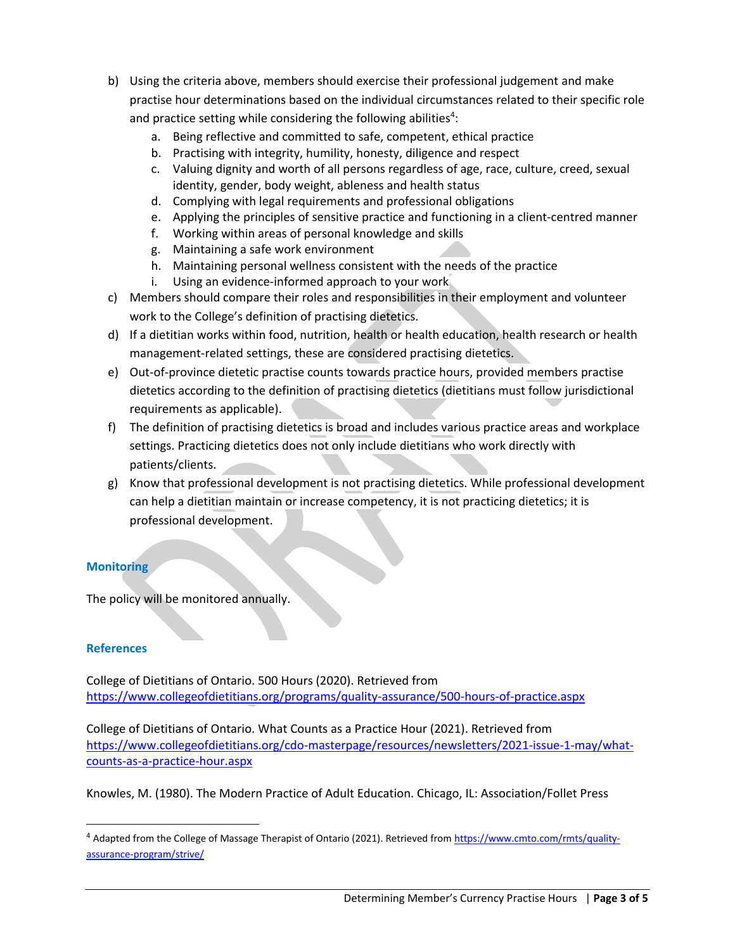- b) Using the criteria above, members should exercise their professional judgement and make practise hour determinations based on the individual circumstances related to their specific role and practice setting while considering the following abilities<sup>4</sup>:
	- a. Being reflective and committed to safe, competent, ethical practice
	- b. Practising with integrity, humility, honesty, diligence and respect
	- c. Valuing dignity and worth of all persons regardless of age, race, culture, creed, sexual identity, gender, body weight, ableness and health status
	- d. Complying with legal requirements and professional obligations
	- e. Applying the principles of sensitive practice and functioning in a client-centred manner
	- f. Working within areas of personal knowledge and skills
	- g. Maintaining a safe work environment
	- h. Maintaining personal wellness consistent with the needs of the practice
	- i. Using an evidence-informed approach to your work
- c) Members should compare their roles and responsibilities in their employment and volunteer work to the College's definition of practising dietetics.
- d) If a dietitian works within food, nutrition, health or health education, health research or health management-related settings, these are considered practising dietetics.
- e) Out-of-province dietetic practise counts towards practice hours, provided members practise dietetics according to the definition of practising dietetics (dietitians must follow jurisdictional requirements as applicable).
- f) The definition of practising dietetics is broad and includes various practice areas and workplace settings. Practicing dietetics does not only include dietitians who work directly with patients/clients.
- g) Know that professional development is not practising dietetics. While professional development can help a dietitian maintain or increase competency, it is not practicing dietetics; it is professional development.

# **Monitoring**

The policy will be monitored annually.

# **References**

College of Dietitians of Ontario. 500 Hours (2020). Retrieved from <https://www.collegeofdietitians.org/programs/quality-assurance/500-hours-of-practice.aspx>

College of Dietitians of Ontario. What Counts as a Practice Hour (2021). Retrieved from [https://www.collegeofdietitians.org/cdo-masterpage/resources/newsletters/2021-issue-1-may/what](https://www.collegeofdietitians.org/cdo-masterpage/resources/newsletters/2021-issue-1-may/what-counts-as-a-practice-hour.aspx)[counts-as-a-practice-hour.aspx](https://www.collegeofdietitians.org/cdo-masterpage/resources/newsletters/2021-issue-1-may/what-counts-as-a-practice-hour.aspx)

Knowles, M. (1980). The Modern Practice of Adult Education. Chicago, IL: Association/Follet Press

<sup>4</sup> Adapted from the College of Massage Therapist of Ontario (2021). Retrieved fro[m https://www.cmto.com/rmts/quality](https://www.cmto.com/rmts/quality-assurance-program/strive/)[assurance-program/strive/](https://www.cmto.com/rmts/quality-assurance-program/strive/)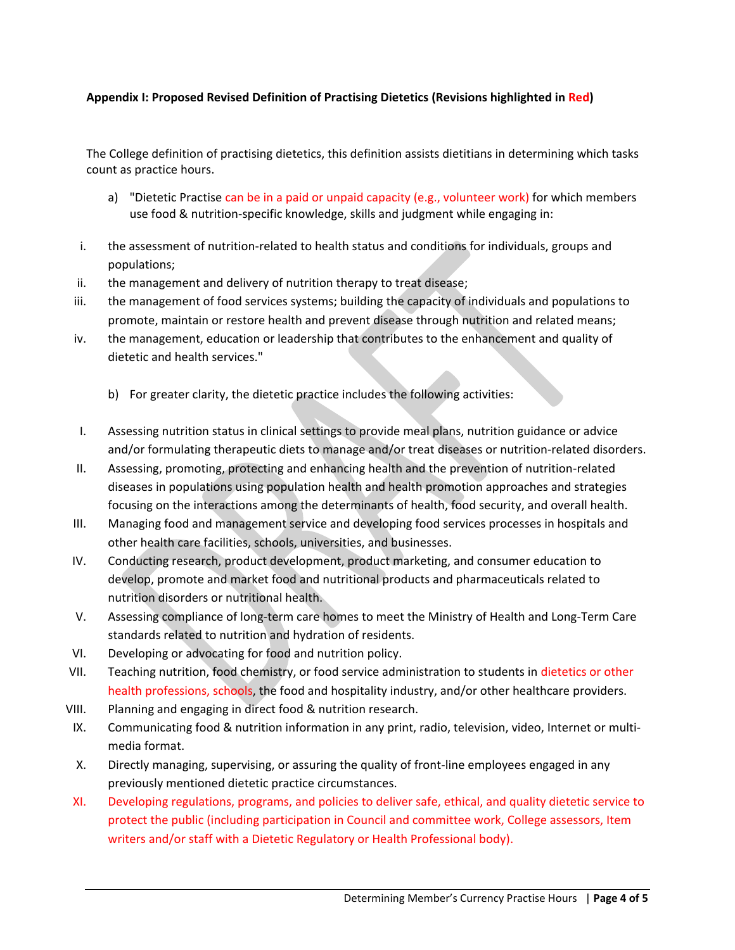# **Appendix I: Proposed Revised Definition of Practising Dietetics (Revisions highlighted in Red)**

The College definition of practising dietetics, this definition assists dietitians in determining which tasks count as practice hours.

- a) "Dietetic Practise can be in a paid or unpaid capacity (e.g., volunteer work) for which members use food & nutrition-specific knowledge, skills and judgment while engaging in:
- i. the assessment of nutrition-related to health status and conditions for individuals, groups and populations;
- ii. the management and delivery of nutrition therapy to treat disease;
- iii. the management of food services systems; building the capacity of individuals and populations to promote, maintain or restore health and prevent disease through nutrition and related means;
- iv. the management, education or leadership that contributes to the enhancement and quality of dietetic and health services."
	- b) For greater clarity, the dietetic practice includes the following activities:
- I. Assessing nutrition status in clinical settings to provide meal plans, nutrition guidance or advice and/or formulating therapeutic diets to manage and/or treat diseases or nutrition-related disorders.
- II. Assessing, promoting, protecting and enhancing health and the prevention of nutrition-related diseases in populations using population health and health promotion approaches and strategies focusing on the interactions among the determinants of health, food security, and overall health.
- III. Managing food and management service and developing food services processes in hospitals and other health care facilities, schools, universities, and businesses.
- IV. Conducting research, product development, product marketing, and consumer education to develop, promote and market food and nutritional products and pharmaceuticals related to nutrition disorders or nutritional health.
- V. Assessing compliance of long-term care homes to meet the Ministry of Health and Long-Term Care standards related to nutrition and hydration of residents.
- VI. Developing or advocating for food and nutrition policy.
- VII. Teaching nutrition, food chemistry, or food service administration to students in dietetics or other health professions, schools, the food and hospitality industry, and/or other healthcare providers.
- VIII. Planning and engaging in direct food & nutrition research.
- IX. Communicating food & nutrition information in any print, radio, television, video, Internet or multimedia format.
- X. Directly managing, supervising, or assuring the quality of front-line employees engaged in any previously mentioned dietetic practice circumstances.
- XI. Developing regulations, programs, and policies to deliver safe, ethical, and quality dietetic service to protect the public (including participation in Council and committee work, College assessors, Item writers and/or staff with a Dietetic Regulatory or Health Professional body).